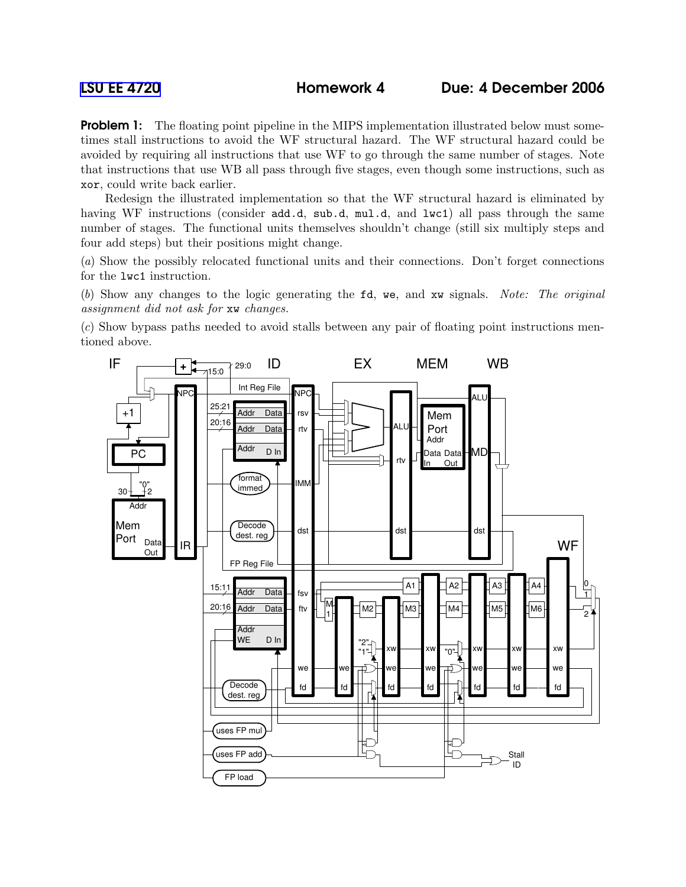**Problem 1:** The floating point pipeline in the MIPS implementation illustrated below must sometimes stall instructions to avoid the WF structural hazard. The WF structural hazard could be avoided by requiring all instructions that use WF to go through the same number of stages. Note that instructions that use WB all pass through five stages, even though some instructions, such as xor, could write back earlier.

Redesign the illustrated implementation so that the WF structural hazard is eliminated by having WF instructions (consider add.d, sub.d, mul.d, and lwc1) all pass through the same number of stages. The functional units themselves shouldn't change (still six multiply steps and four add steps) but their positions might change.

(a) Show the possibly relocated functional units and their connections. Don't forget connections for the lwc1 instruction.

(b) Show any changes to the logic generating the fd, we, and xw signals. Note: The original assignment did not ask for xw changes.

(c) Show bypass paths needed to avoid stalls between any pair of floating point instructions mentioned above.